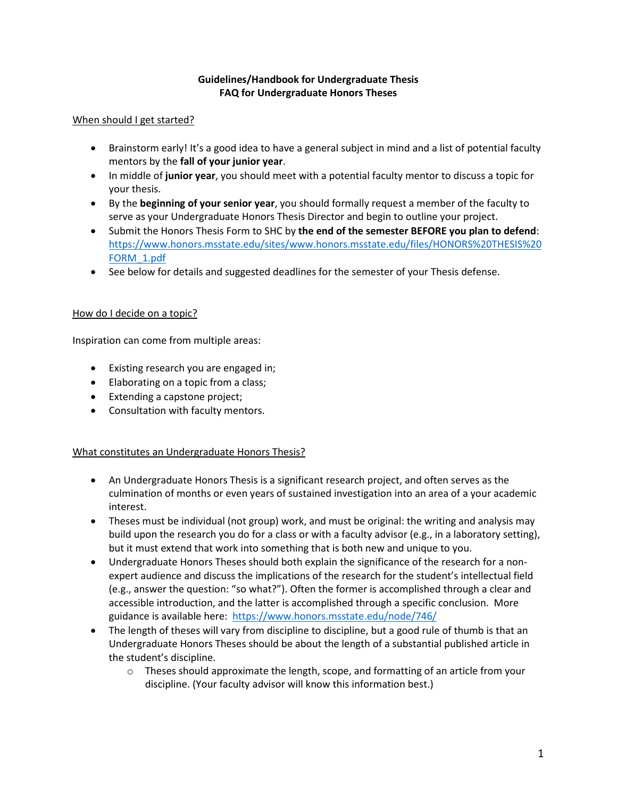# **Guidelines/Handbook for Undergraduate Thesis FAQ for Undergraduate Honors Theses**

#### When should I get started?

- Brainstorm early! It's a good idea to have a general subject in mind and a list of potential faculty mentors by the **fall of your junior year**.
- In middle of **junior year**, you should meet with a potential faculty mentor to discuss a topic for your thesis.
- By the **beginning of your senior year**, you should formally request a member of the faculty to serve as your Undergraduate Honors Thesis Director and begin to outline your project.
- Submit the Honors Thesis Form to SHC by **the end of the semester BEFORE you plan to defend**: [https://www.honors.msstate.edu/sites/www.honors.msstate.edu/files/HONORS%20THESIS%20](https://www.honors.msstate.edu/sites/www.honors.msstate.edu/files/HONORS%20THESIS%20FORM_1.pdf) [FORM\\_1.pdf](https://www.honors.msstate.edu/sites/www.honors.msstate.edu/files/HONORS%20THESIS%20FORM_1.pdf)
- See below for details and suggested deadlines for the semester of your Thesis defense.

### How do I decide on a topic?

Inspiration can come from multiple areas:

- Existing research you are engaged in;
- Elaborating on a topic from a class;
- Extending a capstone project;
- Consultation with faculty mentors.

# What constitutes an Undergraduate Honors Thesis?

- An Undergraduate Honors Thesis is a significant research project, and often serves as the culmination of months or even years of sustained investigation into an area of a your academic interest.
- Theses must be individual (not group) work, and must be original: the writing and analysis may build upon the research you do for a class or with a faculty advisor (e.g., in a laboratory setting), but it must extend that work into something that is both new and unique to you.
- Undergraduate Honors Theses should both explain the significance of the research for a nonexpert audience and discuss the implications of the research for the student's intellectual field (e.g., answer the question: "so what?"). Often the former is accomplished through a clear and accessible introduction, and the latter is accomplished through a specific conclusion. More guidance is available here: <https://www.honors.msstate.edu/node/746/>
- The length of theses will vary from discipline to discipline, but a good rule of thumb is that an Undergraduate Honors Theses should be about the length of a substantial published article in the student's discipline.
	- $\circ$  Theses should approximate the length, scope, and formatting of an article from your discipline. (Your faculty advisor will know this information best.)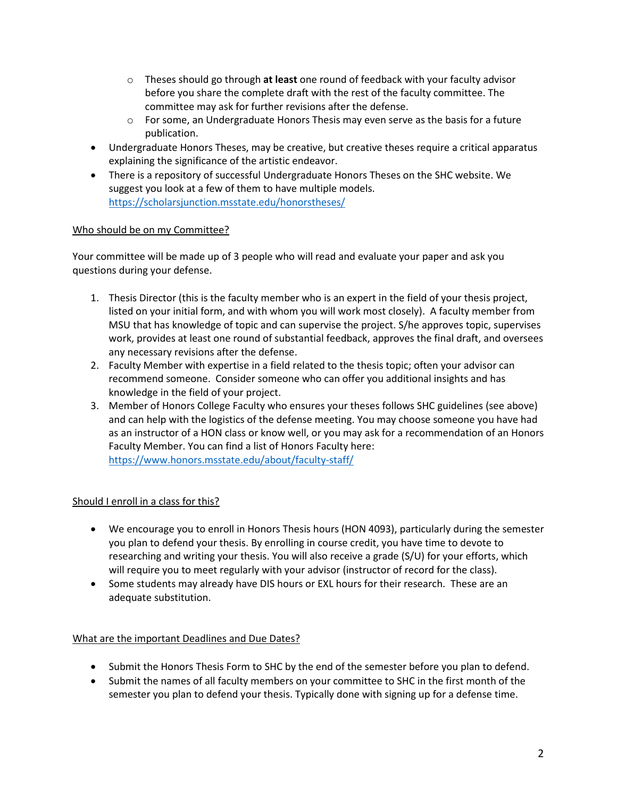- o Theses should go through **at least** one round of feedback with your faculty advisor before you share the complete draft with the rest of the faculty committee. The committee may ask for further revisions after the defense.
- $\circ$  For some, an Undergraduate Honors Thesis may even serve as the basis for a future publication.
- Undergraduate Honors Theses, may be creative, but creative theses require a critical apparatus explaining the significance of the artistic endeavor.
- There is a repository of successful Undergraduate Honors Theses on the SHC website. We suggest you look at a few of them to have multiple models. <https://scholarsjunction.msstate.edu/honorstheses/>

# Who should be on my Committee?

Your committee will be made up of 3 people who will read and evaluate your paper and ask you questions during your defense.

- 1. Thesis Director (this is the faculty member who is an expert in the field of your thesis project, listed on your initial form, and with whom you will work most closely). A faculty member from MSU that has knowledge of topic and can supervise the project. S/he approves topic, supervises work, provides at least one round of substantial feedback, approves the final draft, and oversees any necessary revisions after the defense.
- 2. Faculty Member with expertise in a field related to the thesis topic; often your advisor can recommend someone. Consider someone who can offer you additional insights and has knowledge in the field of your project.
- 3. Member of Honors College Faculty who ensures your theses follows SHC guidelines (see above) and can help with the logistics of the defense meeting. You may choose someone you have had as an instructor of a HON class or know well, or you may ask for a recommendation of an Honors Faculty Member. You can find a list of Honors Faculty here: <https://www.honors.msstate.edu/about/faculty-staff/>

# Should I enroll in a class for this?

- We encourage you to enroll in Honors Thesis hours (HON 4093), particularly during the semester you plan to defend your thesis. By enrolling in course credit, you have time to devote to researching and writing your thesis. You will also receive a grade (S/U) for your efforts, which will require you to meet regularly with your advisor (instructor of record for the class).
- Some students may already have DIS hours or EXL hours for their research. These are an adequate substitution.

# What are the important Deadlines and Due Dates?

- Submit the Honors Thesis Form to SHC by the end of the semester before you plan to defend.
- Submit the names of all faculty members on your committee to SHC in the first month of the semester you plan to defend your thesis. Typically done with signing up for a defense time.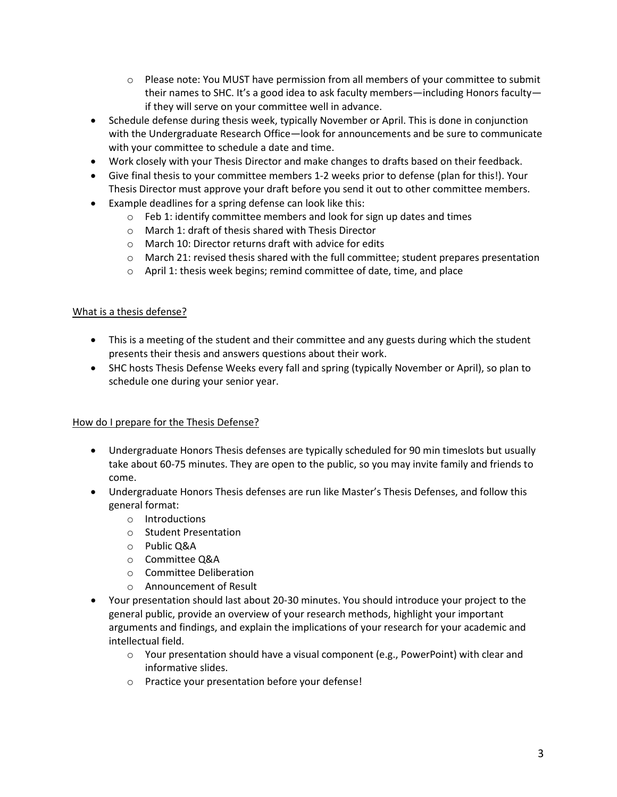- $\circ$  Please note: You MUST have permission from all members of your committee to submit their names to SHC. It's a good idea to ask faculty members—including Honors faculty if they will serve on your committee well in advance.
- Schedule defense during thesis week, typically November or April. This is done in conjunction with the Undergraduate Research Office—look for announcements and be sure to communicate with your committee to schedule a date and time.
- Work closely with your Thesis Director and make changes to drafts based on their feedback.
- Give final thesis to your committee members 1-2 weeks prior to defense (plan for this!). Your Thesis Director must approve your draft before you send it out to other committee members.
- Example deadlines for a spring defense can look like this:
	- o Feb 1: identify committee members and look for sign up dates and times
	- o March 1: draft of thesis shared with Thesis Director
	- o March 10: Director returns draft with advice for edits
	- $\circ$  March 21: revised thesis shared with the full committee; student prepares presentation
	- o April 1: thesis week begins; remind committee of date, time, and place

#### What is a thesis defense?

- This is a meeting of the student and their committee and any guests during which the student presents their thesis and answers questions about their work.
- SHC hosts Thesis Defense Weeks every fall and spring (typically November or April), so plan to schedule one during your senior year.

# How do I prepare for the Thesis Defense?

- Undergraduate Honors Thesis defenses are typically scheduled for 90 min timeslots but usually take about 60-75 minutes. They are open to the public, so you may invite family and friends to come.
- Undergraduate Honors Thesis defenses are run like Master's Thesis Defenses, and follow this general format:
	- o Introductions
	- o Student Presentation
	- o Public Q&A
	- o Committee Q&A
	- o Committee Deliberation
	- o Announcement of Result
- Your presentation should last about 20-30 minutes. You should introduce your project to the general public, provide an overview of your research methods, highlight your important arguments and findings, and explain the implications of your research for your academic and intellectual field.
	- $\circ$  Your presentation should have a visual component (e.g., PowerPoint) with clear and informative slides.
	- o Practice your presentation before your defense!